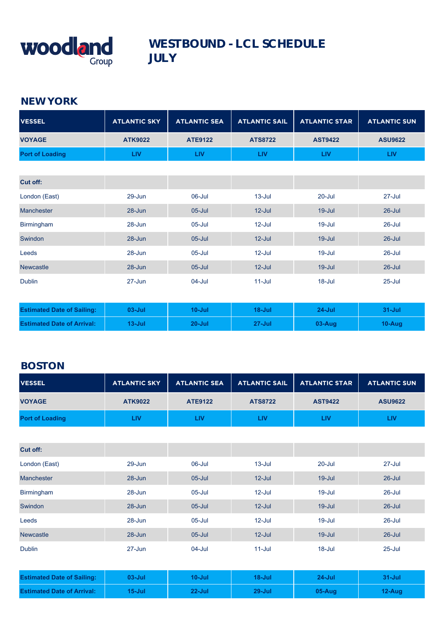

#### **NEW YORK**

| <b>VESSEL</b>          | <b>ATLANTIC SKY</b> | <b>ATLANTIC SEA</b> | <b>ATLANTIC SAIL</b> | <b>ATLANTIC STAR</b> | <b>ATLANTIC SUN</b> |
|------------------------|---------------------|---------------------|----------------------|----------------------|---------------------|
| <b>VOYAGE</b>          | <b>ATK9022</b>      | <b>ATE9122</b>      | <b>ATS8722</b>       | <b>AST9422</b>       | <b>ASU9622</b>      |
| <b>Port of Loading</b> | <b>LIV</b>          | <b>LIV</b>          | <b>LIV</b>           | <b>LIV</b>           | <b>LIV</b>          |
|                        |                     |                     |                      |                      |                     |
| <b>Cut off:</b>        |                     |                     |                      |                      |                     |
| London (East)          | $29 - Jun$          | 06-Jul              | $13 -$ Jul           | $20 -$ Jul           | $27 -$ Jul          |
| <b>Manchester</b>      | $28 - Jun$          | $05 -$ Jul          | $12$ -Jul            | $19 -$ Jul           | $26 -$ Jul          |
| <b>Birmingham</b>      | $28 - Jun$          | $05 -$ Jul          | $12$ -Jul            | $19 -$ Jul           | $26$ -Jul           |
| <b>Swindon</b>         | $28 - Jun$          | $05 -$ Jul          | $12$ -Jul            | $19 -$ Jul           | $26$ -Jul           |
| Leeds                  | $28 - Jun$          | $05 -$ Jul          | $12$ -Jul            | $19 -$ Jul           | $26$ -Jul           |
| <b>Newcastle</b>       | $28 - Jun$          | $05 -$ Jul          | $12$ -Jul            | $19 -$ Jul           | $26 -$ Jul          |
| <b>Dublin</b>          | $27 - Jun$          | 04-Jul              | $11 -$ Jul           | $18 -$ Jul           | $25 -$ Jul          |

| <b>Estimated Date of Sailing:</b> | $03 - Jul$ | 10-Jul     | 18-Jul | $24$ -Jul  | $31 -$ Jul |
|-----------------------------------|------------|------------|--------|------------|------------|
| <b>Estimated Date of Arrival:</b> | $13 - Jul$ | $20 -$ Jul | 27-Jul | $03 - Aug$ | 10-Aug     |

## **BOSTON**

| <b>VESSEL</b>                     | <b>ATLANTIC SKY</b> | <b>ATLANTIC SEA</b> | <b>ATLANTIC SAIL</b> | <b>ATLANTIC STAR</b> | <b>ATLANTIC SUN</b> |
|-----------------------------------|---------------------|---------------------|----------------------|----------------------|---------------------|
| <b>VOYAGE</b>                     | <b>ATK9022</b>      | <b>ATE9122</b>      | <b>ATS8722</b>       | <b>AST9422</b>       | <b>ASU9622</b>      |
| <b>Port of Loading</b>            | <b>LIV</b>          | <b>LIV</b>          | <b>LIV</b>           | <b>LIV</b>           | <b>LIV</b>          |
|                                   |                     |                     |                      |                      |                     |
| Cut off:                          |                     |                     |                      |                      |                     |
| London (East)                     | 29-Jun              | 06-Jul              | $13 -$ Jul           | $20 -$ Jul           | $27 -$ Jul          |
| Manchester                        | $28 - Jun$          | $05 -$ Jul          | $12$ -Jul            | $19 -$ Jul           | $26 -$ Jul          |
| Birmingham                        | 28-Jun              | $05 -$ Jul          | $12$ -Jul            | $19 -$ Jul           | 26-Jul              |
| Swindon                           | $28 - Jun$          | $05 -$ Jul          | $12$ -Jul            | $19 -$ Jul           | $26 -$ Jul          |
| Leeds                             | 28-Jun              | $05 -$ Jul          | $12$ -Jul            | $19 -$ Jul           | $26 -$ Jul          |
| <b>Newcastle</b>                  | 28-Jun              | $05 -$ Jul          | $12 -$ Jul           | $19 -$ Jul           | $26 -$ Jul          |
| <b>Dublin</b>                     | $27 - Jun$          | $04 -$ Jul          | $11 -$ Jul           | $18 -$ Jul           | $25 -$ Jul          |
|                                   |                     |                     |                      |                      |                     |
| <b>Estimated Date of Sailing:</b> | $03 -$ Jul          | $10 -$ Jul          | $18 -$ Jul           | $24 -$ Jul           | $31 -$ Jul          |
| <b>Estimated Date of Arrival:</b> | $15 -$ Jul          | $22$ -Jul           | $29 -$ Jul           | 05-Aug               | 12-Aug              |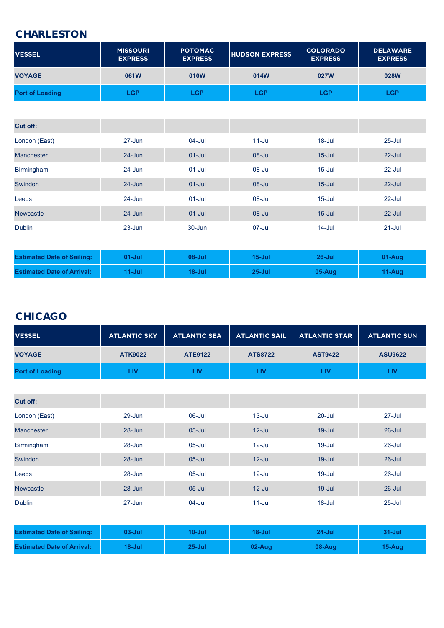#### **CHARLESTON**

| <b>VESSEL</b>          | <b>MISSOURI</b><br><b>EXPRESS</b> | <b>POTOMAC</b><br><b>EXPRESS</b> | <b>HUDSON EXPRESS</b> | <b>COLORADO</b><br><b>EXPRESS</b> | <b>DELAWARE</b><br><b>EXPRESS</b> |
|------------------------|-----------------------------------|----------------------------------|-----------------------|-----------------------------------|-----------------------------------|
| <b>VOYAGE</b>          | 061W                              | 010W                             | 014W                  | 027W                              | 028W                              |
| <b>Port of Loading</b> | LGP                               | LGP                              | $\mathsf{LGP}$        | $\mathsf{LGP}$                    | LGP                               |

| Cut off:                          |            |            |            |            |            |
|-----------------------------------|------------|------------|------------|------------|------------|
| London (East)                     | $27 - Jun$ | $04$ -Jul  | $11 -$ Jul | $18 -$ Jul | $25 -$ Jul |
| <b>Manchester</b>                 | $24 - Jun$ | $01 -$ Jul | $08 -$ Jul | $15 -$ Jul | $22$ -Jul  |
| <b>Birmingham</b>                 | $24 - Jun$ | $01 -$ Jul | 08-Jul     | $15 -$ Jul | $22 -$ Jul |
| Swindon                           | $24 - Jun$ | $01 -$ Jul | $08 -$ Jul | $15 -$ Jul | $22$ -Jul  |
| Leeds                             | $24 - Jun$ | $01 -$ Jul | 08-Jul     | $15 -$ Jul | $22 -$ Jul |
| <b>Newcastle</b>                  | $24 - Jun$ | $01 -$ Jul | $08 -$ Jul | $15 -$ Jul | $22$ -Jul  |
| <b>Dublin</b>                     | $23 - Jun$ | $30 - Jun$ | 07-Jul     | $14$ -Jul  | $21 -$ Jul |
|                                   |            |            |            |            |            |
| <b>Estimated Date of Sailing:</b> | $01 -$ Jul | $08 -$ Jul | $15 -$ Jul | $26$ -Jul  | 01-Aug     |
| <b>Estimated Date of Arrival:</b> | $11 -$ Jul | $18 -$ Jul | $25 -$ Jul | $05-Auq$   | 11-Aug     |

### **CHICAGO**

| <b>VESSEL</b>          | <b>ATLANTIC SKY</b> | <b>ATLANTIC SEA</b> |                | ATLANTIC SAIL   ATLANTIC STAR | <b>ATLANTIC SUN</b> |
|------------------------|---------------------|---------------------|----------------|-------------------------------|---------------------|
| <b>VOYAGE</b>          | <b>ATK9022</b>      | <b>ATE9122</b>      | <b>ATS8722</b> | <b>AST9422</b>                | <b>ASU9622</b>      |
| <b>Port of Loading</b> | LIV.                | LIV.                | LIV            | ZV                            | LIV                 |

| Cut off:          |            |            |            |            |            |
|-------------------|------------|------------|------------|------------|------------|
| London (East)     | $29 - Jun$ | 06-Jul     | $13 -$ Jul | $20 -$ Jul | $27 -$ Jul |
| <b>Manchester</b> | $28 - Jun$ | $05 -$ Jul | $12$ -Jul  | $19 -$ Jul | $26$ -Jul  |
| <b>Birmingham</b> | $28 - Jun$ | $05 -$ Jul | $12$ -Jul  | $19 -$ Jul | $26$ -Jul  |
| Swindon           | $28 - Jun$ | $05 -$ Jul | $12$ -Jul  | $19 -$ Jul | $26 -$ Jul |
| Leeds             | $28 - Jun$ | $05 -$ Jul | $12$ -Jul  | $19 -$ Jul | $26$ -Jul  |
| <b>Newcastle</b>  | $28 - Jun$ | $05 -$ Jul | $12$ -Jul  | $19 -$ Jul | $26$ -Jul  |
| <b>Dublin</b>     | $27 - Jun$ | $04 -$ Jul | $11$ -Jul  | $18 -$ Jul | $25 -$ Jul |

| <b>Estimated Date of Sailing:</b> | $03$ -Jul | <b>10-Jul</b> | $18 -$ Jul | $24$ -Jul | 31-Juli    |
|-----------------------------------|-----------|---------------|------------|-----------|------------|
| <b>Estimated Date of Arrival:</b> | 18-Jul    | $25 -$ Jul    | $02-Auq$   | 08-Aug    | $15 - Aug$ |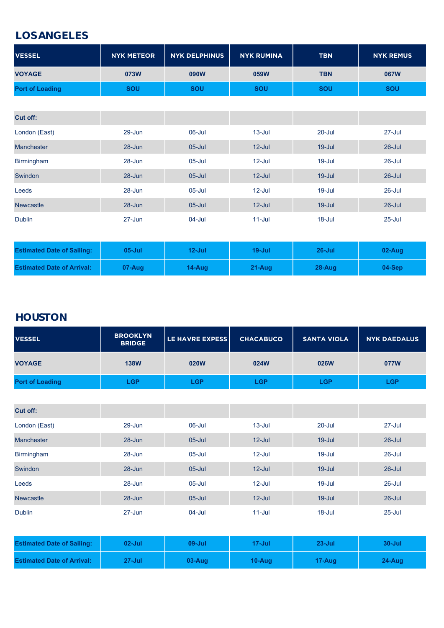#### **LOS ANGELES**

| <b>VESSEL</b>                     | <b>NYK METEOR</b> | <b>NYK DELPHINUS</b> | <b>NYK RUMINA</b> | <b>TBN</b> | <b>NYK REMUS</b> |
|-----------------------------------|-------------------|----------------------|-------------------|------------|------------------|
| <b>VOYAGE</b>                     | 073W              | 090W                 | 059W              | <b>TBN</b> | 067W             |
| <b>Port of Loading</b>            | <b>SOU</b>        | SOU                  | <b>SOU</b>        | <b>SOU</b> | <b>SOU</b>       |
|                                   |                   |                      |                   |            |                  |
| Cut off:                          |                   |                      |                   |            |                  |
| London (East)                     | 29-Jun            | 06-Jul               | $13 -$ Jul        | $20 -$ Jul | 27-Jul           |
| <b>Manchester</b>                 | $28 - Jun$        | $05$ -Jul            | $12$ -Jul         | $19 -$ Jul | $26$ -Jul        |
| <b>Birmingham</b>                 | $28 - Jun$        | $05$ -Jul            | $12$ -Jul         | 19-Jul     | $26$ -Jul        |
| Swindon                           | 28-Jun            | $05$ -Jul            | $12$ -Jul         | $19 -$ Jul | $26$ -Jul        |
| Leeds                             | $28 - Jun$        | $05$ -Jul            | $12$ -Jul         | 19-Jul     | $26$ -Jul        |
| <b>Newcastle</b>                  | 28-Jun            | $05 -$ Jul           | $12$ -Jul         | $19 -$ Jul | $26$ -Jul        |
| <b>Dublin</b>                     | $27 - Jun$        | $04 -$ Jul           | $11$ -Jul         | 18-Jul     | $25 -$ Jul       |
|                                   |                   |                      |                   |            |                  |
| <b>Estimated Date of Sailing:</b> | $05 -$ Jul        | $12$ -Jul            | $19 -$ Jul        | $26$ -Jul  | 02-Aug           |
| <b>Estimated Date of Arrival:</b> | 07-Aug            | 14-Aug               | 21-Aug            | 28-Aug     | 04-Sep           |

# **HOUSTON**

| <b>VESSEL</b>          | <b>BROOKLYN</b><br><b>BRIDGE</b> | <b>LE HAVRE EXPESS</b>    | <b>CHACABUCO</b> | <b>SANTA VIOLA</b> | <b>NYK DAEDALUS</b> |
|------------------------|----------------------------------|---------------------------|------------------|--------------------|---------------------|
| <b>VOYAGE</b>          | <b>138W</b>                      | 020W                      | 024W             | 026W               | 077W                |
| <b>Port of Loading</b> | $\overline{\mathsf{G}}$ P        | $\overline{\mathsf{G}}$ P | LGP              | <b>LGP</b>         | LGP                 |

| <b>Cut off:</b>   |            |            |            |            |            |
|-------------------|------------|------------|------------|------------|------------|
| London (East)     | $29 - Jun$ | 06-Jul     | $13 -$ Jul | $20 -$ Jul | $27 -$ Jul |
| <b>Manchester</b> | $28 - Jun$ | $05 -$ Jul | $12$ -Jul  | $19 -$ Jul | $26 -$ Jul |
| <b>Birmingham</b> | $28 - Jun$ | $05 -$ Jul | $12$ -Jul  | $19 -$ Jul | $26 -$ Jul |
| Swindon           | $28 - Jun$ | $05 -$ Jul | $12$ -Jul  | $19 -$ Jul | $26$ -Jul  |
| Leeds             | $28 - Jun$ | 05-Jul     | $12$ -Jul  | $19 -$ Jul | $26 -$ Jul |
| <b>Newcastle</b>  | $28 - Jun$ | $05 -$ Jul | $12$ -Jul  | $19 -$ Jul | $26 -$ Jul |
| <b>Dublin</b>     | $27 - Jun$ | $04 -$ Jul | $11 -$ Jul | $18 -$ Jul | $25 -$ Jul |

| <b>Estimated Date of Sailing:</b> | $02$ -Jul  | $09 -$ Jul | $17 -$ Jul | $23 - Jul$ | $30 -$ Jul |
|-----------------------------------|------------|------------|------------|------------|------------|
| <b>Estimated Date of Arrival:</b> | $27 -$ Jul | $03-Auq$   | $10 - Aug$ | $17 - Aug$ | $24-Auq$   |